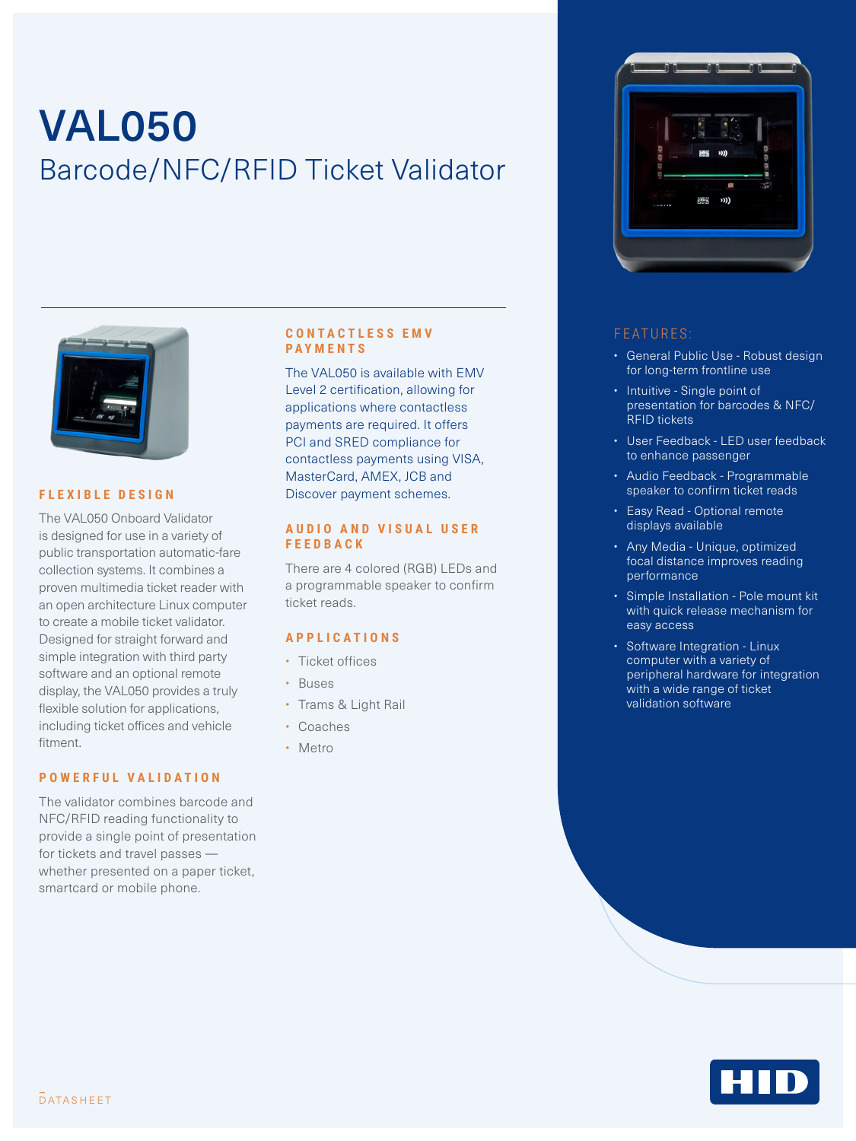# VAL050 Barcode/NFC/RFID Ticket Validator



#### **FLEXIBLE DESIGN**

The VAL050 Onboard Validator is designed for use in a variety of public transportation automatic-fare collection systems. It combines a proven multimedia ticket reader with an open architecture Linux computer to create a mobile ticket validator. Designed for straight forward and simple integration with third party software and an optional remote display, the VAL050 provides a truly flexible solution for applications, including ticket offices and vehicle fitment.

#### **POWERFUL VALIDATION**

The validator combines barcode and NFC/RFID reading functionality to provide a single point of presentation for tickets and travel passes whether presented on a paper ticket, smartcard or mobile phone.

#### **C O N T A C T L E S S E M V PAYMENTS**

The VAL050 is available with EMV Level 2 certification, allowing for applications where contactless payments are required. It offers PCI and SRED compliance for contactless payments using VISA, MasterCard, AMEX, JCB and Discover payment schemes.

#### **A U D I O A N D V I S U A L U S E R FEEDBACK**

There are 4 colored (RGB) LEDs and a programmable speaker to confirm ticket reads.

### **APPLICATIONS**

- Ticket offices
- Buses
- Trams & Light Rail
- Coaches
- Metro



#### FEATURES:

- General Public Use Robust design for long-term frontline use
- Intuitive Single point of presentation for barcodes & NFC/ RFID tickets
- User Feedback LED user feedback to enhance passenger
- Audio Feedback Programmable speaker to confirm ticket reads
- Easy Read Optional remote displays available
- Any Media Unique, optimized focal distance improves reading performance
- Simple Installation Pole mount kit with quick release mechanism for easy access
- Software Integration Linux computer with a variety of peripheral hardware for integration with a wide range of ticket validation software